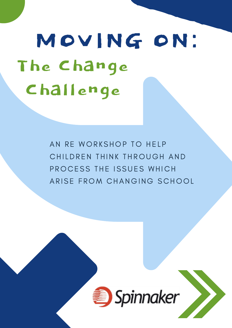# MOVING ON: The Change Challenge

AN RE WORKSHOP TO HELP CHILDREN THINK THROUGH AND PROCESS THE ISSUES WHICH ARISE FROM CHANGING SCHOOL

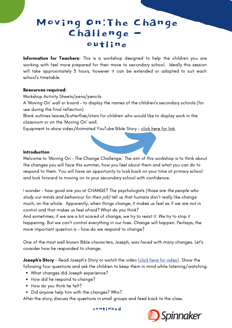#### Moving On:The Change Challenge outline

Information for Teachers: This is a workshop designed to help the children you are working with feel more prepared for their move to secondary school. Ideally this session will take approximately 3 hours, however it can be extended or adapted to suit each school's timetable.

#### Resources required:

Workshop Activity Sheets/pens/pencils

A 'Moving On' wall or board – to display the names of the children's secondary schools (for use during the final reflection)

Blank outlines leaves/butterflies/stars for children who would like to display work in the classroom or on the 'Moving On' wall.

Equipment to show video/Animated YouTube Bible Story - click [here](https://youtu.be/x5B8Q6zF3Qo) for link.

#### Introduction

Welcome to 'Moving On – The Change Challenge.' The aim of this workshop is to think about the changes you will face this summer, how you feel about them and what you can do to respond to them. You will have an opportunity to look back on your time at primary school and look forward to moving on to your secondary school with confidence.

I wonder – how good are you at CHANGE? The psychologists (those are the people who study our minds and behaviour for their job) tell us that humans don't really like change much, on the whole. Apparently, when things change, it makes us feel as if we are not in control and that makes us feel afraid? What do you think?

And sometimes, if we are a bit scared of change, we try to resist it. We try to stop it happening. But we can't control everything in our lives. Change will happen. Perhaps, the more important question is - how do we respond to change?

One of the most well known Bible characters, Joseph, was faced with many changes. Let's consider how he responded to change.

**Joseph's Story** - Read Joseph's Story or watch the [video](https://youtu.be/x5B8Q6zF3Qo) (click here for video). Show the following four questions and ask the children to keep them in mind while listening/watching.

- What changes did Joseph experience?
- How did he respond to change?
- How do you think he felt?
- Did anyone help him with the changes? Who?

After the story, discuss the questions in small groups and feed back to the class.

continued

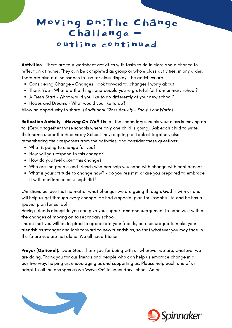#### Moving On:The Change Challenge outline continued

Activities - There are four worksheet activities with tasks to do in class and a chance to reflect on at home. They can be completed as group or whole class activities, in any order. There are also outline shapes to use for class display. The activities are:

- Considering Change Changes I look forward to, changes I worry about
- Thank You What are the things and people you're grateful for from primary school?
- A Fresh Start What would you like to do differently at your new school?
- Hopes and Dreams What would you like to do?

Allow an opportunity to share. [Additional Class Activity - Know Your Worth]

Reflection Activity - Moving On Wall List all the secondary schools your class is moving on to. (Group together those schools where only one child is going). Ask each child to write their name under the Secondary School they're going to. Look at together, also remembering their responses from the activities, and consider these questions:

- What is going to change for you?
- How will you respond to this change?
- How do you feel about this change?
- Who are the people and friends who can help you cope with change with confidence?
- What is your attitude to change now? do you resist it, or are you prepared to embrace it with confidence as Joseph did?

Christians believe that no matter what changes we are going through, God is with us and will help us get through every change. He had a special plan for Joseph's life and he has a special plan for us too!

Having friends alongside you can give you support and encouragement to cope well with all the changes of moving on to secondary school.

I hope that you will be inspired to appreciate your friends, be encouraged to make your friendships stronger and look forward to new friendships, so that whatever you may face in the future you are not alone. We all need friends!

**Prayer (Optional):** Dear God, Thank you for being with us wherever we are, whatever we are doing. Thank you for our friends and people who can help us embrace change in a positive way, helping us, encouraging us and supporting us. Please help each one of us adapt to all the changes as we 'Move On' to secondary school. Amen.



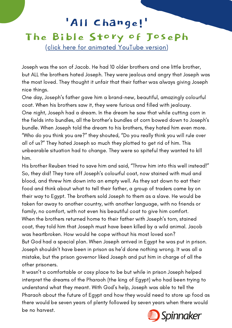## 'All Change!' The Bible Story of Joseph

(click here for [animated](https://youtu.be/x5B8Q6zF3Qo) YouTube version)

Joseph was the son of Jacob. He had 10 older brothers and one little brother, but ALL the brothers hated Joseph. They were jealous and angry that Joseph was the most loved. They thought it unfair that their father was always giving Joseph nice things.

One day, Joseph's father gave him a brand-new, beautiful, amazingly colourful coat. When his brothers saw it, they were furious and filled with jealousy. One night, Joseph had a dream. In the dream he saw that while cutting corn in the fields into bundles, all the brother's bundles of corn bowed down to Joseph's bundle. When Joseph told the dream to his brothers, they hated him even more. "Who do you think you are?" they shouted, "Do you really think you will rule over all of us?" They hated Joseph so much they plotted to get rid of him. This unbearable situation had to change. They were so spiteful they wanted to kill him.

His brother Reuben tried to save him and said, "Throw him into this well instead!" So, they did! They tore off Joseph's colourful coat, now stained with mud and blood, and threw him down into an empty well. As they sat down to eat their food and think about what to tell their father, a group of traders came by on their way to Egypt. The brothers sold Joseph to them as a slave. He would be taken far away to another country, with another language, with no friends or family, no comfort, with not even his beautiful coat to give him comfort. When the brothers returned home to their father with Joseph's torn, stained coat, they told him that Joseph must have been killed by a wild animal. Jacob was heartbroken. How would he cope without his most loved son? But God had a special plan. When Joseph arrived in Egypt he was put in prison. Joseph shouldn't have been in prison as he'd done nothing wrong. It was all a mistake, but the prison governor liked Joseph and put him in charge of all the other prisoners.

It wasn't a comfortable or cosy place to be but while in prison Joseph helped interpret the dreams of the Pharaoh (the king of Egypt) who had been trying to understand what they meant. With God's help, Joseph was able to tell the Pharaoh about the future of Egypt and how they would need to store up food as there would be seven years of plenty followed by seven years when there [would](https://spinnaker.org.uk/) be no harvest.

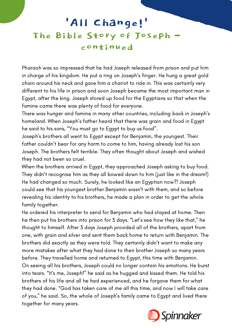### 'All Change!' The Bible Story of Joseph continued

Pharaoh was so impressed that he had Joseph released from prison and put him in charge of his kingdom. He put a ring on Joseph's finger. He hung a great gold chain around his neck and gave him a chariot to ride in. This was certainly very different to his life in prison and soon Joseph became the most important man in Egypt, after the king. Joseph stored up food for the Egyptians so that when the famine came there was plenty of food for everyone.

There was hunger and famine in many other countries, including back in Joseph's homeland. When Joseph's father heard that there was grain and food in Egypt he said to his sons, "You must go to Egypt to buy us food".

Joseph's brothers all went to Egypt except for Benjamin, the youngest. Their father couldn't bear for any harm to come to him, having already lost his son Joseph. The brothers felt terrible. They often thought about Joseph and wished they had not been so cruel.

When the brothers arrived in Egypt, they approached Joseph asking to buy food. They didn't recognise him as they all bowed down to him (just like in the dream!) He had changed so much. Surely, he looked like an Egyptian now?! Joseph could see that his youngest brother Benjamin wasn't with them, and so before revealing his identity to his brothers, he made a plan in order to get the whole family together.

He ordered his interpreter to send for Benjamin who had stayed at home. Then he then put his brothers into prison for 3 days. "Let's see how they like that," he thought to himself. After 3 days Joseph provided all of the brothers, apart from one, with grain and silver and sent them back home to return with Benjamin. The brothers did exactly as they were told. They certainly didn't want to make any more mistakes after what they had done to their brother Joseph so many years before. They travelled home and returned to Egypt, this time with Benjamin. On seeing all his brothers, Joseph could no longer contain his emotions. He burst into tears. "It's me, Joseph!" he said as he hugged and kissed them. He told his brothers of his life and all he had experienced, and he forgave them for what they had done. "God has taken care of me all this time, and now I will take care of you," he said. So, the whole of Joseph's family came to Egypt and lived there together for many years.

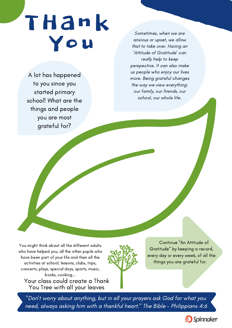THank You

A lot has happened to you since you started primary school! What are the things and people you are most grateful for?

Sometimes, when we are anxious or upset, we allow that to take over. Having an 'Attitude of Gratitude' can really help to keep perspective. It can also make us people who enjoy our lives more. Being grateful changes the way we view everything: our family, our friends, our school, our whole life.

You might think about all the different adults who have helped you, all the other pupils who have been part of your life and then all the activities at school; lessons, clubs, trips, concerts, plays, special days, sports, music, books, cooking...

Your class could create a Thank You Tree with all your leaves

Continue "An Attitude of Gratitude" by keeping a record, every day or every week, of all the things you are grateful for.

"Don't worry about anything, but in all your prayers ask God for what you need, always asking him with a thankful heart." The Bible - Philippians 4:6

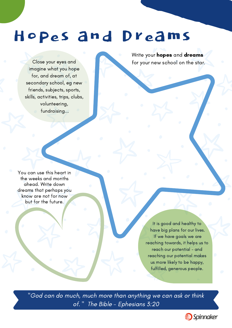# Hopes and Dreams

Close your eyes and imagine what you hope for, and dream of, at secondary school, eg new friends, subjects, sports, skills, activities, trips, clubs, volunteering, fundraising...

Write your **hopes** and **dreams** for your new school on the star.

You can use this heart in the weeks and months ahead. Write down dreams that perhaps you know are not for now but for the future.

> It is good and healthy to have big plans for our lives. If we have goals we are reaching towards, it helps us to reach our potential - and reaching our potential makes us more likely to be happy, fulfilled, generous people.

"God can do much, much more than anything we can ask or think of. " The Bible - Ephesians 3:20

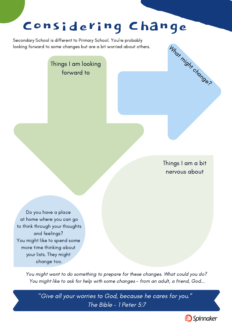## Considering Change

Secondary School is different to Primary School. You're probably Secondary School is different to some changes but are a bit worried about others.<br>
Looking forward to some changes but are a bit worried about others.<br>
What might changes in a small control of the state of the state of th

Things I am looking forward to

> Things I am a bit nervous about

Do you have a place at home where you can go to think through your thoughts and feelings? You might like to spend some more time thinking about your lists. They might change too.

> You might like to ask for help with some changes - from an adult, a friend, God... You might want to do something to prepare for these changes. What could you do?

"Give all your worries to God, because he cares for you." The Bible - 1 Peter 5:7

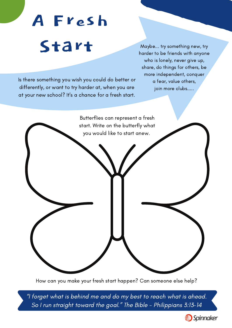# A Fresh Start

Maybe... try something new, try harder to be friends with anyone who is lonely, never give up, share, do things for others, be more independent, conquer a fear, value others, join more clubs.....

Is there something you wish you could do better or differently, or want to try harder at, when you are at your new school? It's a chance for a fresh start.



How can you make your fresh start happen? Can someone else help?

"I forget what is behind me and do my best to reach what is ahead. So I run straight toward the goal." The Bible - Philippians 3:13-14

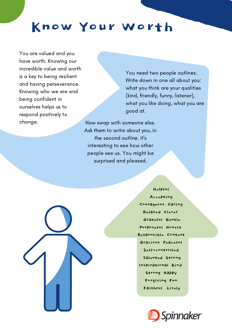### Know Your Worth

You are valued and you have worth. Knowing our incredible value and worth is a key to being resilient and having perseverance. Knowing who we are and being confident in ourselves helps us to respond positively to

You need two people outlines. Write down in one all about you: what you think are your qualities (kind, friendly, funny, listener), what you like doing, what you are good at.

change. Now swap with someone else. Ask them to write about you, in the second outline. It's interesting to see how other people see us. You might be surprised and pleased.



Helpful Accepting Courageous Caring Relaxed Clever Grateful Gentle Purposeful Honest Responsible Content Gracious Peaceful Self-controlled Talented Strong Inspirational Kind Strong Happy Forgiving Fun Faithful Lively

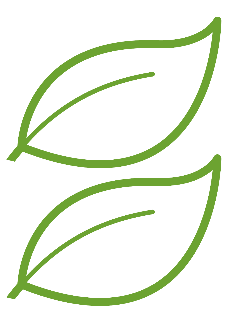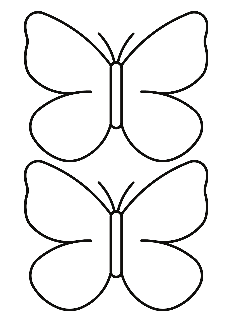